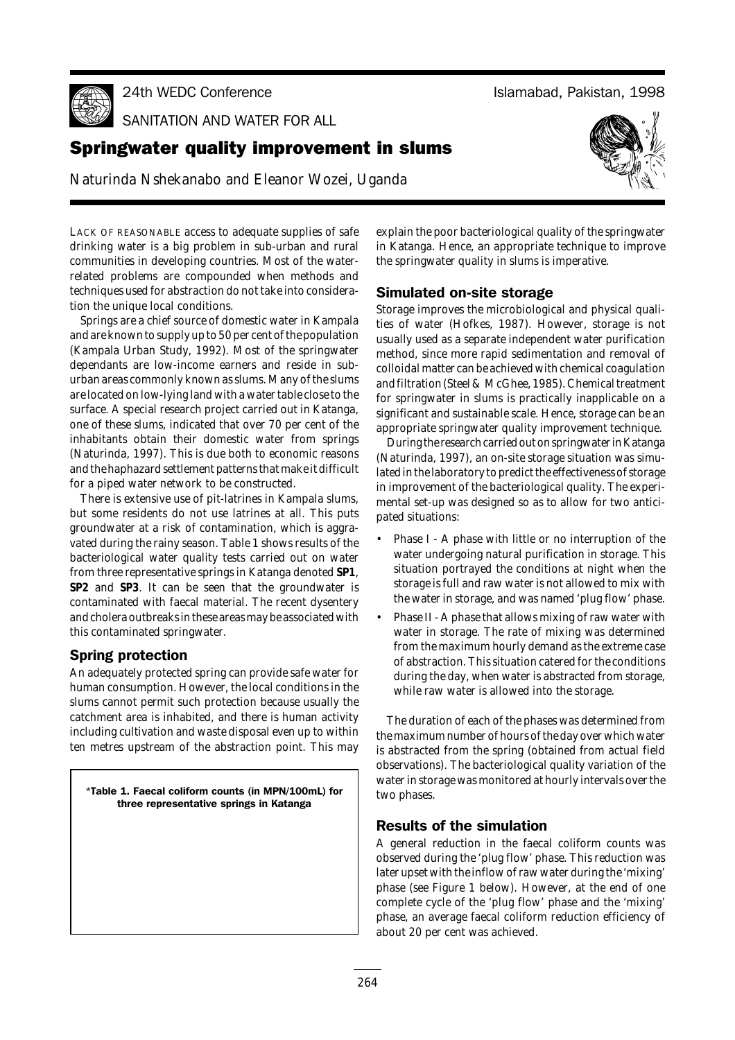24th WEDC Co

SANITATION AND WATER FOR ALL

# **Springwater quality improvement in slums**

*Naturinda Nshekanabo and Eleanor Wozei, Uganda*



Islamabad, Pakistan, 1998

LACK OF REASONABLE access to adequate supplies of safe drinking water is a big problem in sub-urban and rural communities in developing countries. Most of the waterrelated problems are compounded when methods and techniques used for abstraction do not take into consideration the unique local conditions.

Springs are a chief source of domestic water in Kampala and are known to supply up to 50 per cent of the population (Kampala Urban Study, 1992). Most of the springwater dependants are low-income earners and reside in suburban areas commonly known as slums. Many of the slums are located on low-lying land with a water table close to the surface. A special research project carried out in Katanga, one of these slums, indicated that over 70 per cent of the inhabitants obtain their domestic water from springs (Naturinda, 1997). This is due both to economic reasons and the haphazard settlement patterns that make it difficult for a piped water network to be constructed.

There is extensive use of pit-latrines in Kampala slums, but some residents do not use latrines at all. This puts groundwater at a risk of contamination, which is aggravated during the rainy season. Table 1 shows results of the bacteriological water quality tests carried out on water from three representative springs in Katanga denoted **SP1**, **SP2** and **SP3**. It can be seen that the groundwater is contaminated with faecal material. The recent dysentery and cholera outbreaks in these areas may be associated with this contaminated springwater.

## **Spring protection**

An adequately protected spring can provide safe water for human consumption. However, the local conditions in the slums cannot permit such protection because usually the catchment area is inhabited, and there is human activity including cultivation and waste disposal even up to within ten metres upstream of the abstraction point. This may

\*Table 1. Faecal coliform counts (in MPN/100mL) for three representative springs in Katanga

explain the poor bacteriological quality of the springwater in Katanga. Hence, an appropriate technique to improve the springwater quality in slums is imperative.

## **Simulated on-site storage**

Storage improves the microbiological and physical qualities of water (Hofkes, 1987). However, storage is not usually used as a separate independent water purification method, since more rapid sedimentation and removal of colloidal matter can be achieved with chemical coagulation and filtration (Steel & McGhee, 1985). Chemical treatment for springwater in slums is practically inapplicable on a significant and sustainable scale. Hence, storage can be an appropriate springwater quality improvement technique.

During the research carried out on springwater in Katanga (Naturinda, 1997), an on-site storage situation was simulated in the laboratory to predict the effectiveness of storage in improvement of the bacteriological quality. The experimental set-up was designed so as to allow for two anticipated situations:

- Phase I A phase with little or no interruption of the water undergoing natural purification in storage. This situation portrayed the conditions at night when the storage is full and raw water is not allowed to mix with the water in storage, and was named 'plug flow' phase.
- Phase II A phase that allows mixing of raw water with water in storage. The rate of mixing was determined from the maximum hourly demand as the extreme case of abstraction. This situation catered for the conditions during the day, when water is abstracted from storage, while raw water is allowed into the storage.

The duration of each of the phases was determined from the maximum number of hours of the day over which water is abstracted from the spring (obtained from actual field observations). The bacteriological quality variation of the water in storage was monitored at hourly intervals over the two phases.

# **Results of the simulation**

A general reduction in the faecal coliform counts was observed during the 'plug flow' phase. This reduction was later upset with the inflow of raw water during the 'mixing' phase (see Figure 1 below). However, at the end of one complete cycle of the 'plug flow' phase and the 'mixing' phase, an average faecal coliform reduction efficiency of about 20 per cent was achieved.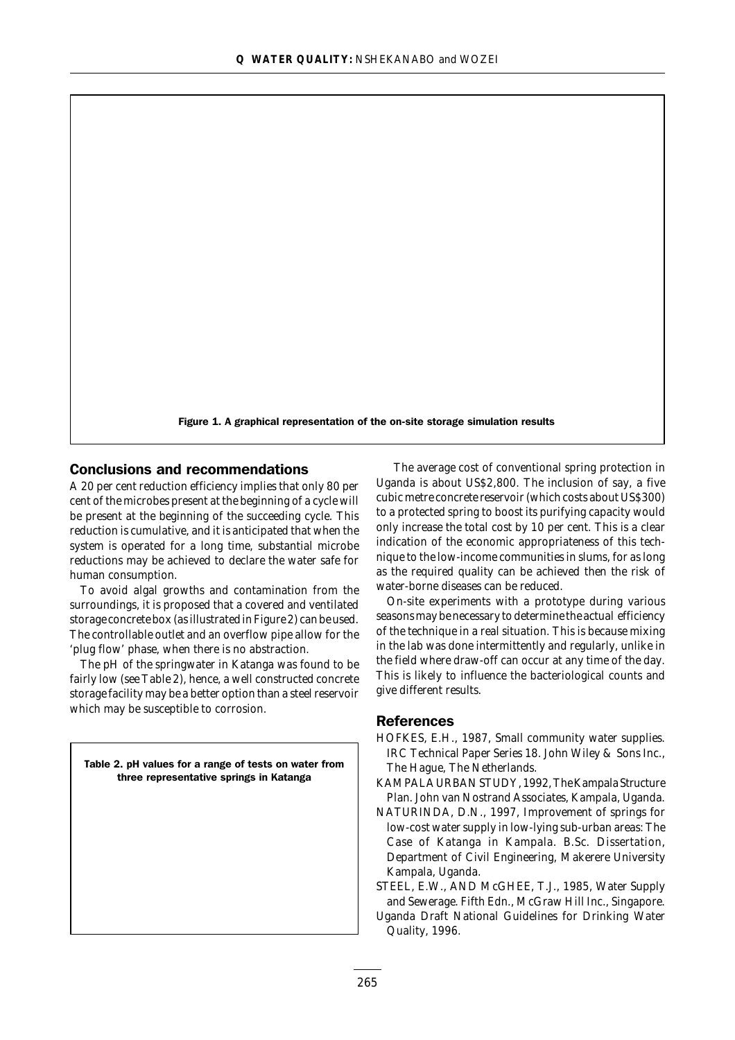Figure 1. A graphical representation of the on-site storage simulation results

### **Conclusions and recommendations**

A 20 per cent reduction efficiency implies that only 80 per cent of the microbes present at the beginning of a cycle will be present at the beginning of the succeeding cycle. This reduction is cumulative, and it is anticipated that when the system is operated for a long time, substantial microbe reductions may be achieved to declare the water safe for human consumption.

To avoid algal growths and contamination from the surroundings, it is proposed that a covered and ventilated storage concrete box (as illustrated in Figure 2) can be used. The controllable outlet and an overflow pipe allow for the 'plug flow' phase, when there is no abstraction.

The pH of the springwater in Katanga was found to be fairly low (see Table 2), hence, a well constructed concrete storage facility may be a better option than a steel reservoir which may be susceptible to corrosion.

Table 2. pH values for a range of tests on water from three representative springs in Katanga

The average cost of conventional spring protection in Uganda is about US\$2,800. The inclusion of say, a five cubic metre concrete reservoir (which costs about US\$300) to a protected spring to boost its purifying capacity would only increase the total cost by 10 per cent. This is a clear indication of the economic appropriateness of this technique to the low-income communities in slums, for as long as the required quality can be achieved then the risk of water-borne diseases can be reduced.

On-site experiments with a prototype during various seasons may be necessary to determine the actual efficiency of the technique in a real situation. This is because mixing in the lab was done intermittently and regularly, unlike in the field where draw-off can occur at any time of the day. This is likely to influence the bacteriological counts and give different results.

#### **References**

- HOFKES, E.H., 1987*, Small community water supplies*. IRC Technical Paper Series 18. John Wiley & Sons Inc., The Hague, The Netherlands.
- KAMPALA URBAN STUDY, 1992, *The Kampala Structure Plan*. John van Nostrand Associates, Kampala, Uganda.
- NATURINDA, D.N., 1997, *Improvement of springs for low-cost water supply in low-lying sub-urban areas: The Case of Katanga in Kampala*. B.Sc. Dissertation, Department of Civil Engineering, Makerere University Kampala, Uganda.
- STEEL, E.W., AND McGHEE, T.J., 1985, *Water Supply and Sewerage*. Fifth Edn., McGraw Hill Inc., Singapore.
- Uganda Draft National Guidelines for Drinking Water Quality, 1996.